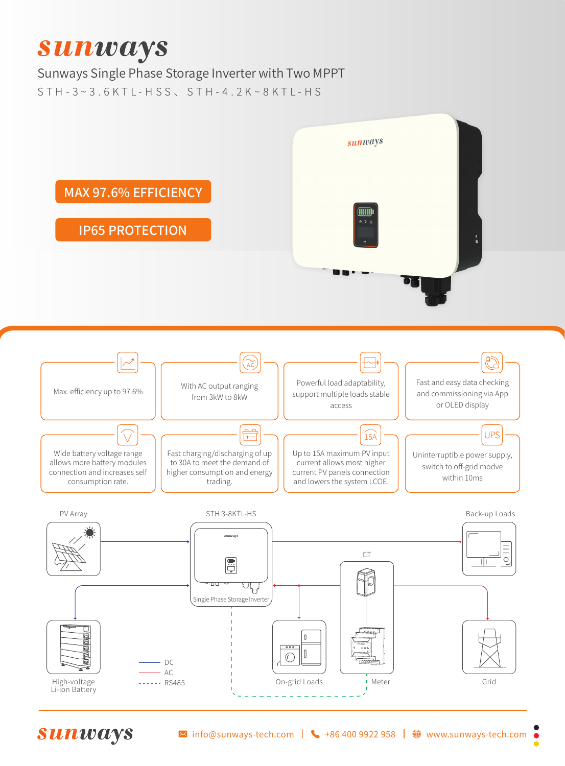## **Sunways**

Sunways Single Phase Storage Inverter with Two MPPT S T H - 3 ~ 3 . 6 K T L - H S S 、 S T H - 4 . 2 K ~ 8 K T L - H S